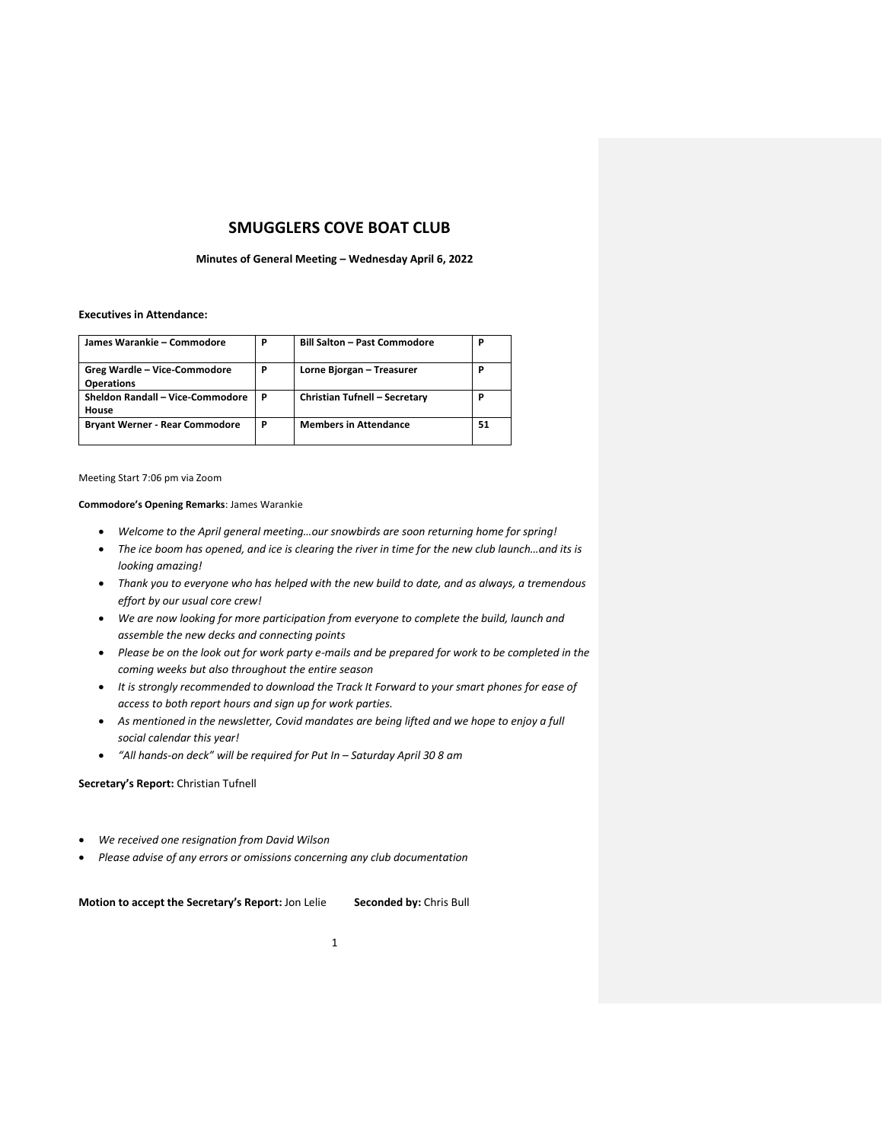# **SMUGGLERS COVE BOAT CLUB**

### **Minutes of General Meeting – Wednesday April 6, 2022**

### **Executives in Attendance:**

| James Warankie - Commodore            | P | <b>Bill Salton - Past Commodore</b> | P  |
|---------------------------------------|---|-------------------------------------|----|
| Greg Wardle - Vice-Commodore          | P | Lorne Bjorgan - Treasurer           | P  |
| <b>Operations</b>                     |   |                                     |    |
| Sheldon Randall - Vice-Commodore      | P | Christian Tufnell - Secretary       | P  |
| House                                 |   |                                     |    |
| <b>Bryant Werner - Rear Commodore</b> | P | <b>Members in Attendance</b>        | 51 |
|                                       |   |                                     |    |

Meeting Start 7:06 pm via Zoom

**Commodore's Opening Remarks**: James Warankie

- *Welcome to the April general meeting…our snowbirds are soon returning home for spring!*
- *The ice boom has opened, and ice is clearing the river in time for the new club launch…and its is looking amazing!*
- *Thank you to everyone who has helped with the new build to date, and as always, a tremendous effort by our usual core crew!*
- *We are now looking for more participation from everyone to complete the build, launch and assemble the new decks and connecting points*
- *Please be on the look out for work party e-mails and be prepared for work to be completed in the coming weeks but also throughout the entire season*
- *It is strongly recommended to download the Track It Forward to your smart phones for ease of access to both report hours and sign up for work parties.*
- *As mentioned in the newsletter, Covid mandates are being lifted and we hope to enjoy a full social calendar this year!*
- *"All hands-on deck" will be required for Put In – Saturday April 30 8 am*

# **Secretary's Report:** Christian Tufnell

- *We received one resignation from David Wilson*
- *Please advise of any errors or omissions concerning any club documentation*

**Motion to accept the Secretary's Report:** Jon Lelie **Seconded by:** Chris Bull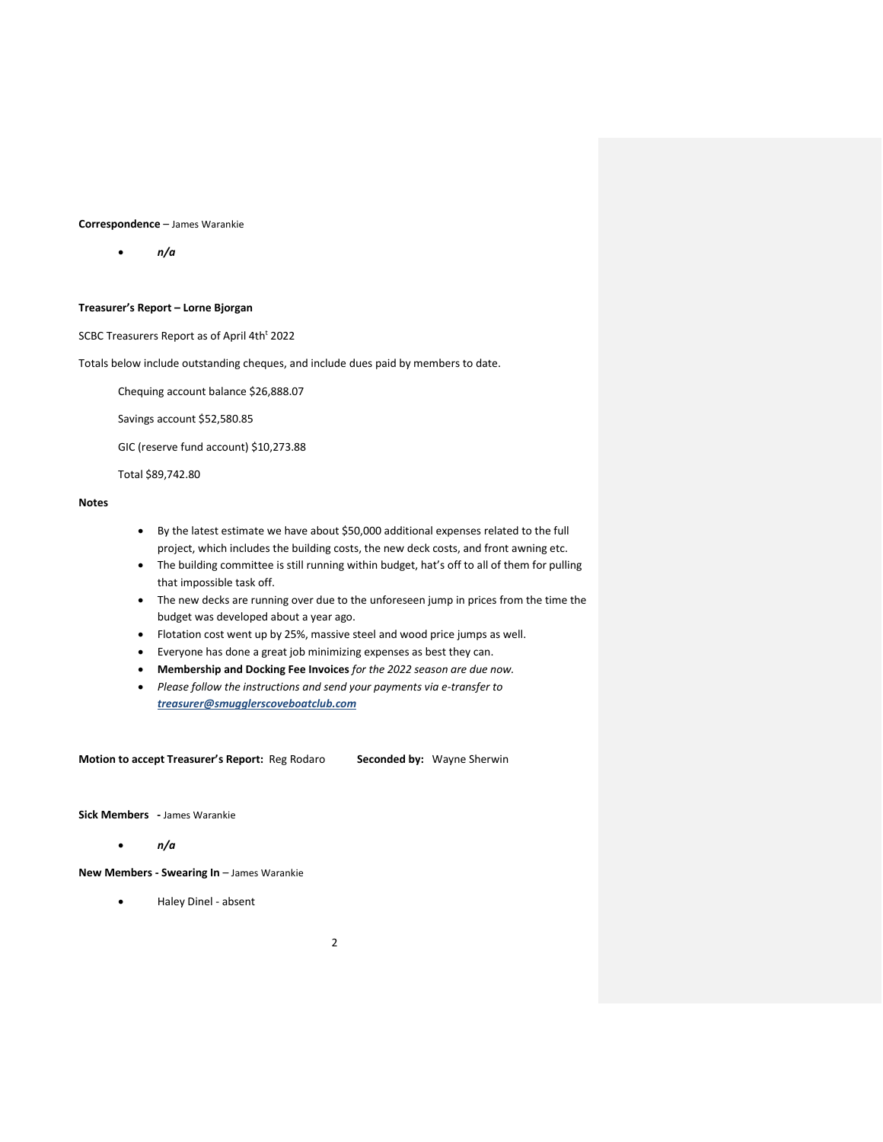### **Correspondence** – James Warankie

• *n/a*

# **Treasurer's Report – Lorne Bjorgan**

SCBC Treasurers Report as of April 4th<sup>t</sup> 2022

Totals below include outstanding cheques, and include dues paid by members to date.

Chequing account balance \$26,888.07

Savings account \$52,580.85

GIC (reserve fund account) \$10,273.88

Total \$89,742.80

# **Notes**

- By the latest estimate we have about \$50,000 additional expenses related to the full project, which includes the building costs, the new deck costs, and front awning etc.
- The building committee is still running within budget, hat's off to all of them for pulling that impossible task off.
- The new decks are running over due to the unforeseen jump in prices from the time the budget was developed about a year ago.
- Flotation cost went up by 25%, massive steel and wood price jumps as well.
- Everyone has done a great job minimizing expenses as best they can.
- **Membership and Docking Fee Invoices** *for the 2022 season are due now.*
- *Please follow the instructions and send your payments via e-transfer to treasurer@smugglerscoveboatclub.com*

**Motion to accept Treasurer's Report:** Reg Rodaro **Seconded by:** Wayne Sherwin

**Sick Members -** James Warankie

### • *n/a*

**New Members - Swearing In** – James Warankie

• Haley Dinel - absent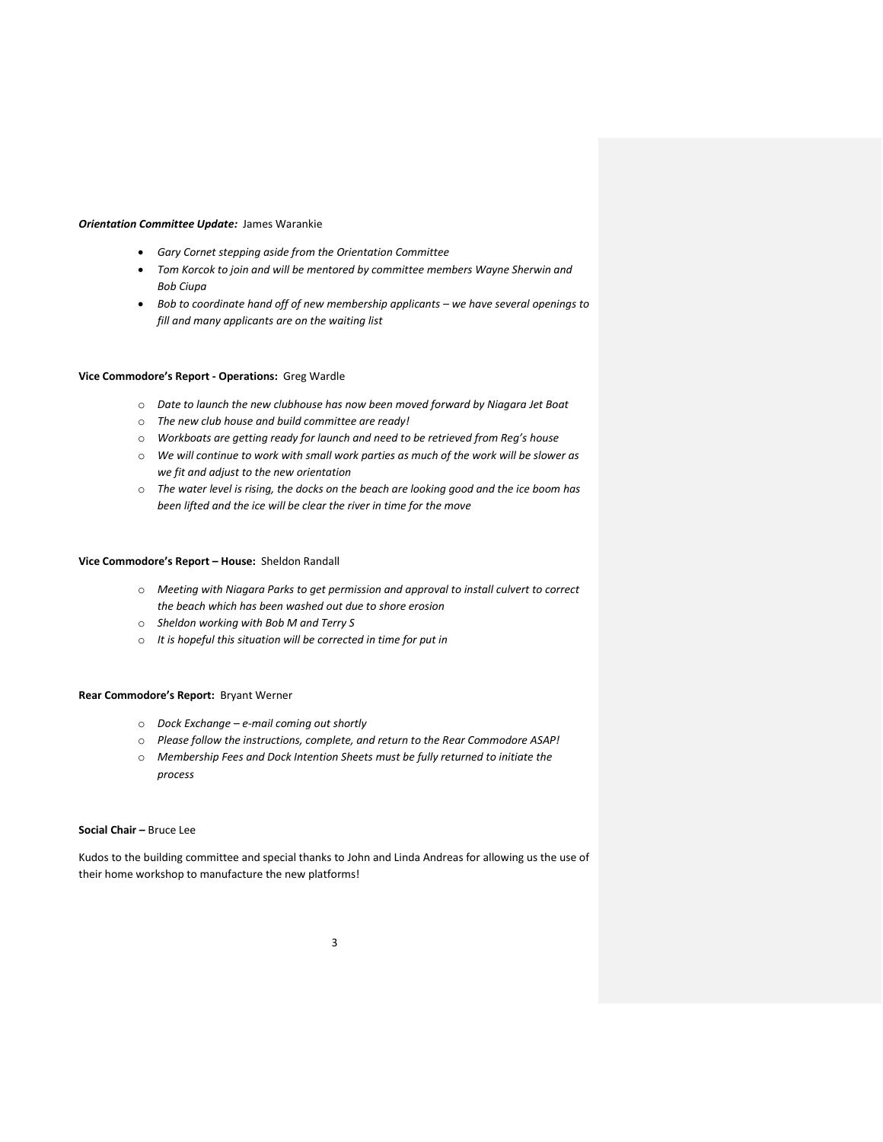### *Orientation Committee Update:* James Warankie

- *Gary Cornet stepping aside from the Orientation Committee*
- *Tom Korcok to join and will be mentored by committee members Wayne Sherwin and Bob Ciupa*
- *Bob to coordinate hand off of new membership applicants – we have several openings to fill and many applicants are on the waiting list*

### **Vice Commodore's Report - Operations:** Greg Wardle

- o *Date to launch the new clubhouse has now been moved forward by Niagara Jet Boat*
- o *The new club house and build committee are ready!*
- o *Workboats are getting ready for launch and need to be retrieved from Reg's house*
- o *We will continue to work with small work parties as much of the work will be slower as we fit and adjust to the new orientation*
- o *The water level is rising, the docks on the beach are looking good and the ice boom has been lifted and the ice will be clear the river in time for the move*

### **Vice Commodore's Report – House:** Sheldon Randall

- o *Meeting with Niagara Parks to get permission and approval to install culvert to correct the beach which has been washed out due to shore erosion*
- o *Sheldon working with Bob M and Terry S*
- o *It is hopeful this situation will be corrected in time for put in*

### **Rear Commodore's Report:** Bryant Werner

- o *Dock Exchange – e-mail coming out shortly*
- o *Please follow the instructions, complete, and return to the Rear Commodore ASAP!*
- o *Membership Fees and Dock Intention Sheets must be fully returned to initiate the process*

### **Social Chair –** Bruce Lee

Kudos to the building committee and special thanks to John and Linda Andreas for allowing us the use of their home workshop to manufacture the new platforms!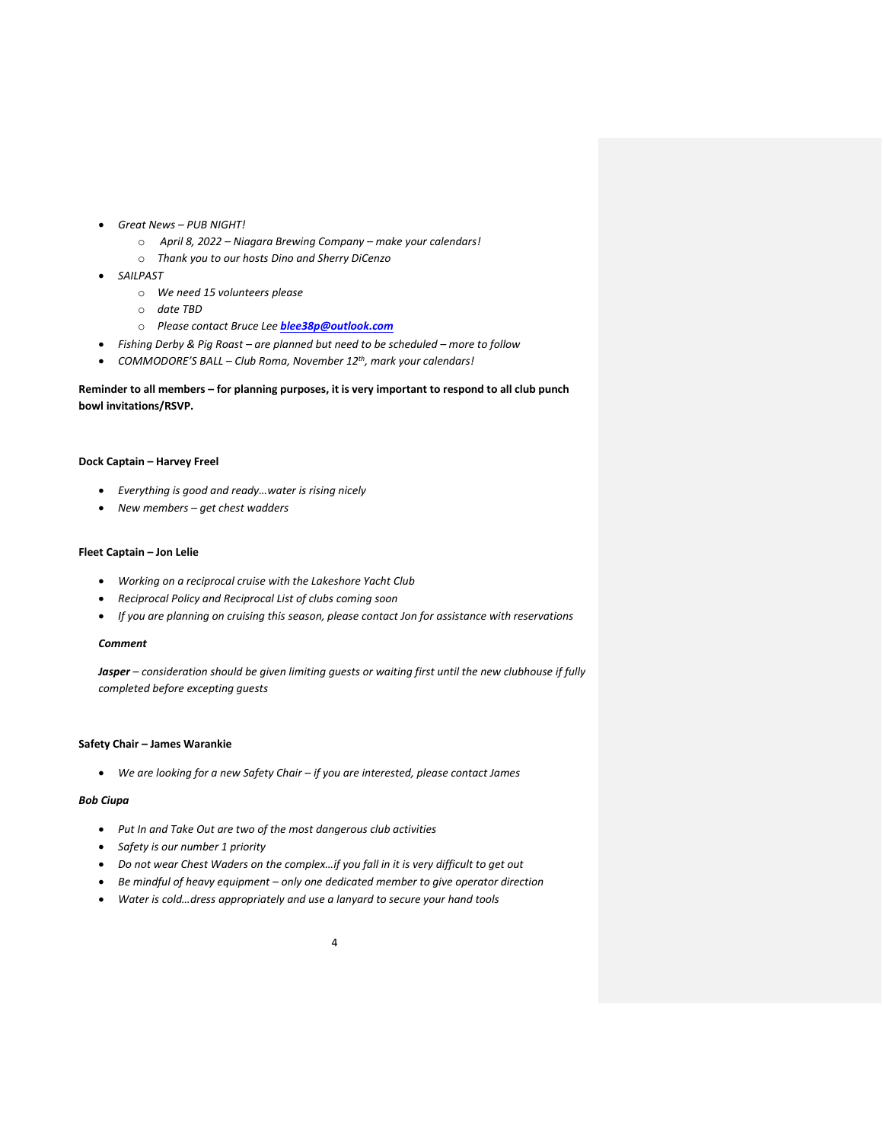- *Great News – PUB NIGHT!* 
	- o *April 8, 2022 – Niagara Brewing Company – make your calendars!*
	- o *Thank you to our hosts Dino and Sherry DiCenzo*
- *SAILPAST*
	- o *We need 15 volunteers please*
	- o *date TBD*
	- o *Please contact Bruce Lee [blee38p@outlook.com](file:///C:/Users/Chris%20Tufnell/OneDrive/Desktop/blee38p@outlook.com)*
- *Fishing Derby & Pig Roast – are planned but need to be scheduled – more to follow*
- *COMMODORE'S BALL – Club Roma, November 12th, mark your calendars!*

# **Reminder to all members – for planning purposes, it is very important to respond to all club punch bowl invitations/RSVP.**

### **Dock Captain – Harvey Freel**

- *Everything is good and ready…water is rising nicely*
- *New members – get chest wadders*

# **Fleet Captain – Jon Lelie**

- *Working on a reciprocal cruise with the Lakeshore Yacht Club*
- *Reciprocal Policy and Reciprocal List of clubs coming soon*
- *If you are planning on cruising this season, please contact Jon for assistance with reservations*

### *Comment*

*Jasper – consideration should be given limiting guests or waiting first until the new clubhouse if fully completed before excepting guests*

### **Safety Chair – James Warankie**

• *We are looking for a new Safety Chair – if you are interested, please contact James*

# *Bob Ciupa*

- *Put In and Take Out are two of the most dangerous club activities*
- *Safety is our number 1 priority*
- *Do not wear Chest Waders on the complex…if you fall in it is very difficult to get out*
- *Be mindful of heavy equipment – only one dedicated member to give operator direction*
- *Water is cold…dress appropriately and use a lanyard to secure your hand tools*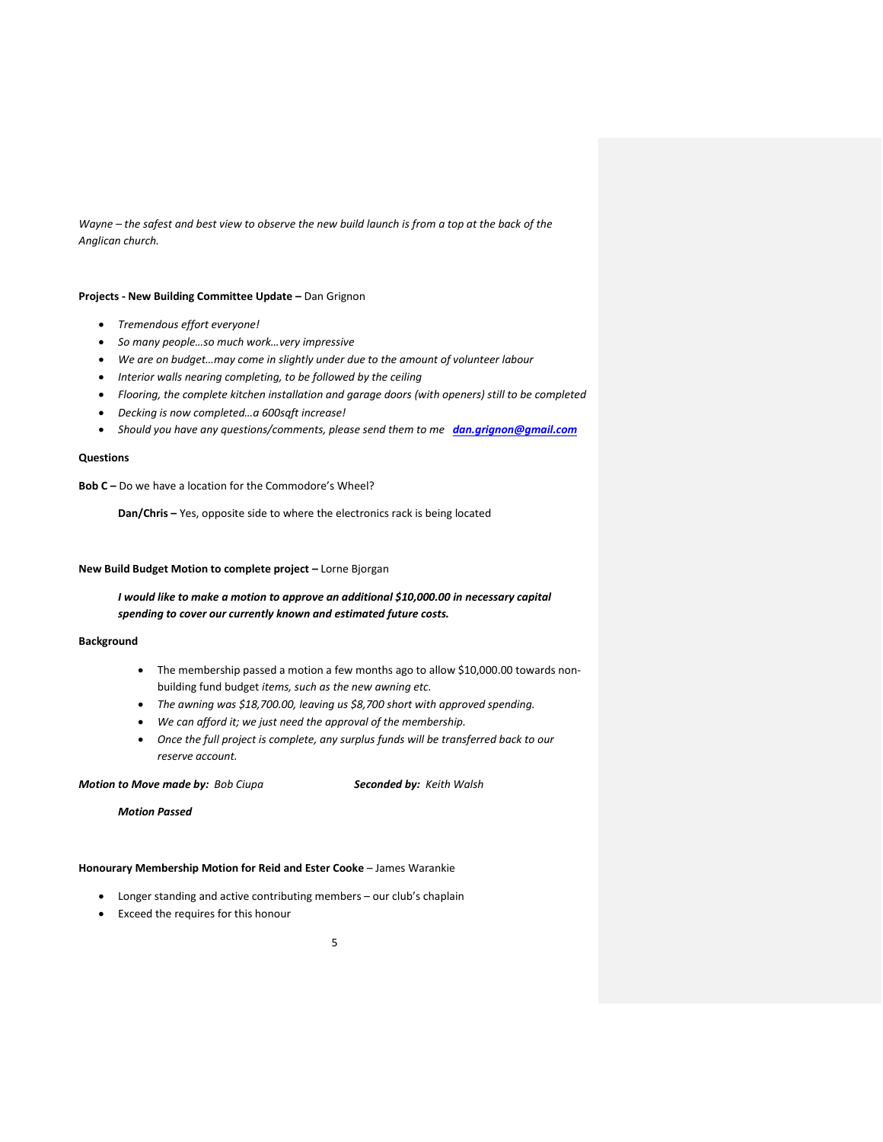*Wayne – the safest and best view to observe the new build launch is from a top at the back of the Anglican church.* 

### **Projects - New Building Committee Update –** Dan Grignon

- *Tremendous effort everyone!*
- *So many people…so much work…very impressive*
- *We are on budget…may come in slightly under due to the amount of volunteer labour*
- *Interior walls nearing completing, to be followed by the ceiling*
- *Flooring, the complete kitchen installation and garage doors (with openers) still to be completed*
- *Decking is now completed…a 600sqft increase!*
- *Should you have any questions/comments, please send them to me [dan.grignon@gmail.com](mailto:dan.grignon@gmail.com)*

### **Questions**

**Bob C –** Do we have a location for the Commodore's Wheel?

**Dan/Chris –** Yes, opposite side to where the electronics rack is being located

# **New Build Budget Motion to complete project –** Lorne Bjorgan

*I would like to make a motion to approve an additional \$10,000.00 in necessary capital spending to cover our currently known and estimated future costs.* 

### **Background**

- The membership passed a motion a few months ago to allow \$10,000.00 towards nonbuilding fund budget *items, such as the new awning etc.*
- *The awning was \$18,700.00, leaving us \$8,700 short with approved spending.*
- *We can afford it; we just need the approval of the membership.*
- *Once the full project is complete, any surplus funds will be transferred back to our reserve account.*

### *Motion to Move made by: Bob Ciupa Seconded by: Keith Walsh*

*Motion Passed*

### **Honourary Membership Motion for Reid and Ester Cooke** – James Warankie

- Longer standing and active contributing members our club's chaplain
- Exceed the requires for this honour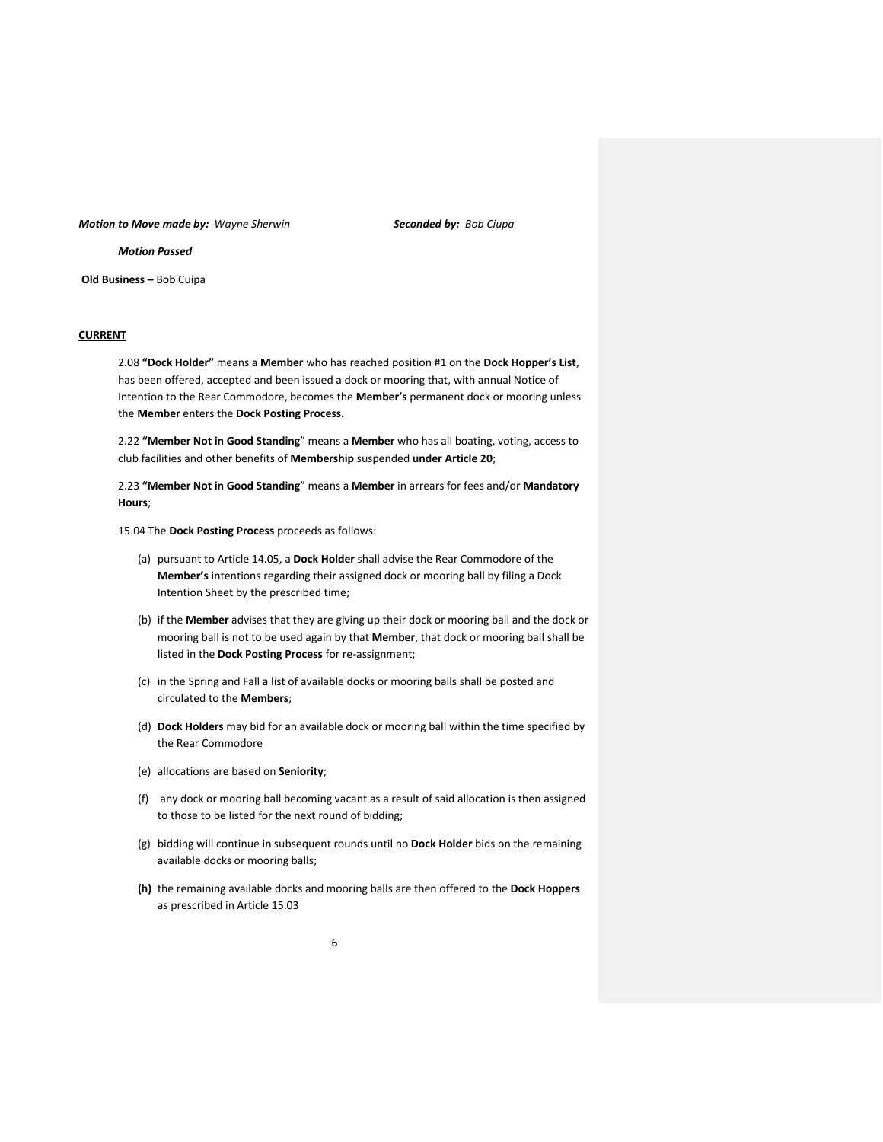#### *Motion to Move made by: Wayne Sherwin Seconded by: Bob Ciupa*

*Motion Passed*

**Old Business –** Bob Cuipa

### **CURRENT**

2.08 **"Dock Holder"** means a **Member** who has reached position #1 on the **Dock Hopper's List**, has been offered, accepted and been issued a dock or mooring that, with annual Notice of Intention to the Rear Commodore, becomes the **Member's** permanent dock or mooring unless the **Member** enters the **Dock Posting Process.**

2.22 **"Member Not in Good Standing**" means a **Member** who has all boating, voting, access to club facilities and other benefits of **Membership** suspended **under Article 20**;

2.23 **"Member Not in Good Standing**" means a **Member** in arrears for fees and/or **Mandatory Hours**;

15.04 The **Dock Posting Process** proceeds as follows:

- (a) pursuant to Article 14.05, a **Dock Holder** shall advise the Rear Commodore of the **Member's** intentions regarding their assigned dock or mooring ball by filing a Dock Intention Sheet by the prescribed time;
- (b) if the **Member** advises that they are giving up their dock or mooring ball and the dock or mooring ball is not to be used again by that **Member**, that dock or mooring ball shall be listed in the **Dock Posting Process** for re-assignment;
- (c) in the Spring and Fall a list of available docks or mooring balls shall be posted and circulated to the **Members**;
- (d) **Dock Holders** may bid for an available dock or mooring ball within the time specified by the Rear Commodore
- (e) allocations are based on **Seniority**;
- (f) any dock or mooring ball becoming vacant as a result of said allocation is then assigned to those to be listed for the next round of bidding;
- (g) bidding will continue in subsequent rounds until no **Dock Holder** bids on the remaining available docks or mooring balls;
- **(h)** the remaining available docks and mooring balls are then offered to the **Dock Hoppers** as prescribed in Article 15.03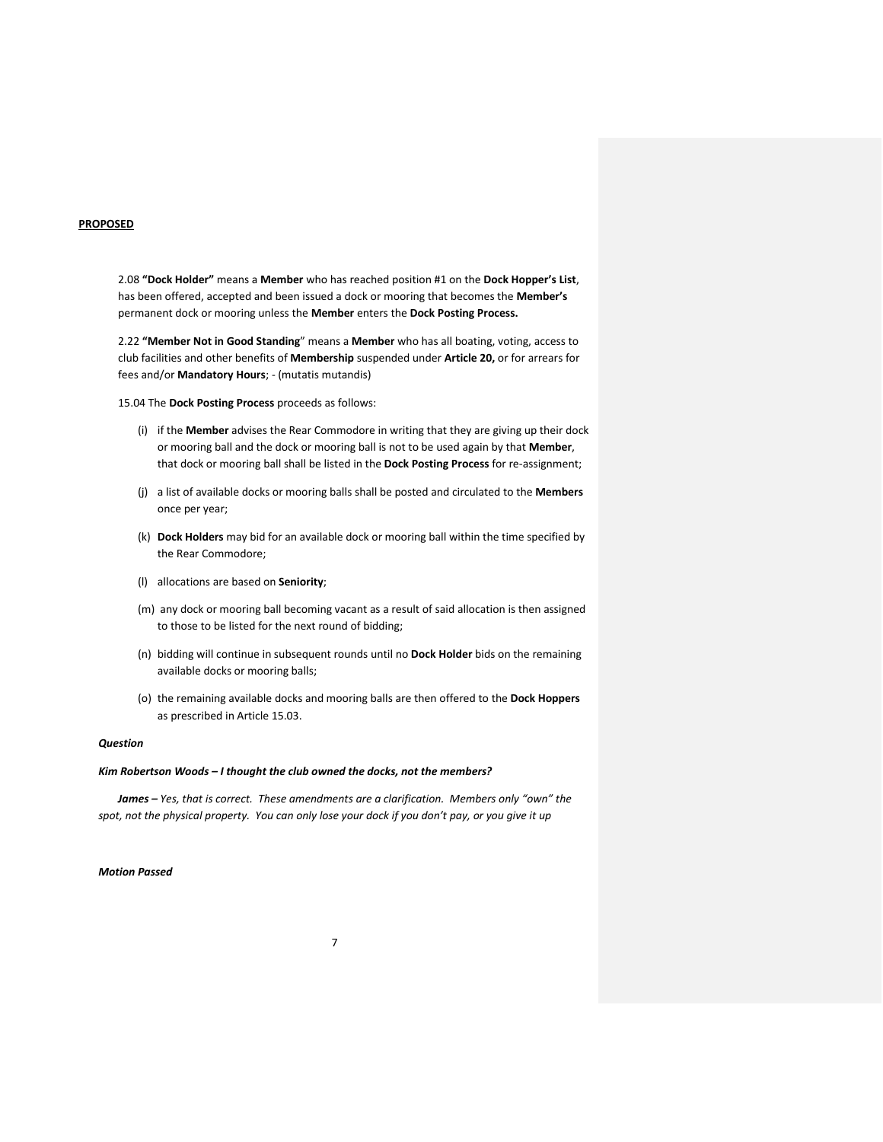### **PROPOSED**

2.08 **"Dock Holder"** means a **Member** who has reached position #1 on the **Dock Hopper's List**, has been offered, accepted and been issued a dock or mooring that becomes the **Member's** permanent dock or mooring unless the **Member** enters the **Dock Posting Process.**

2.22 **"Member Not in Good Standing**" means a **Member** who has all boating, voting, access to club facilities and other benefits of **Membership** suspended under **Article 20,** or for arrears for fees and/or **Mandatory Hours**; - (mutatis mutandis)

15.04 The **Dock Posting Process** proceeds as follows:

- (i) if the **Member** advises the Rear Commodore in writing that they are giving up their dock or mooring ball and the dock or mooring ball is not to be used again by that **Member**, that dock or mooring ball shall be listed in the **Dock Posting Process** for re-assignment;
- (j) a list of available docks or mooring balls shall be posted and circulated to the **Members**  once per year;
- (k) **Dock Holders** may bid for an available dock or mooring ball within the time specified by the Rear Commodore;
- (l) allocations are based on **Seniority**;
- (m) any dock or mooring ball becoming vacant as a result of said allocation is then assigned to those to be listed for the next round of bidding;
- (n) bidding will continue in subsequent rounds until no **Dock Holder** bids on the remaining available docks or mooring balls;
- (o) the remaining available docks and mooring balls are then offered to the **Dock Hoppers** as prescribed in Article 15.03.

### *Question*

### *Kim Robertson Woods – I thought the club owned the docks, not the members?*

*James – Yes, that is correct. These amendments are a clarification. Members only "own" the spot, not the physical property. You can only lose your dock if you don't pay, or you give it up*

# *Motion Passed*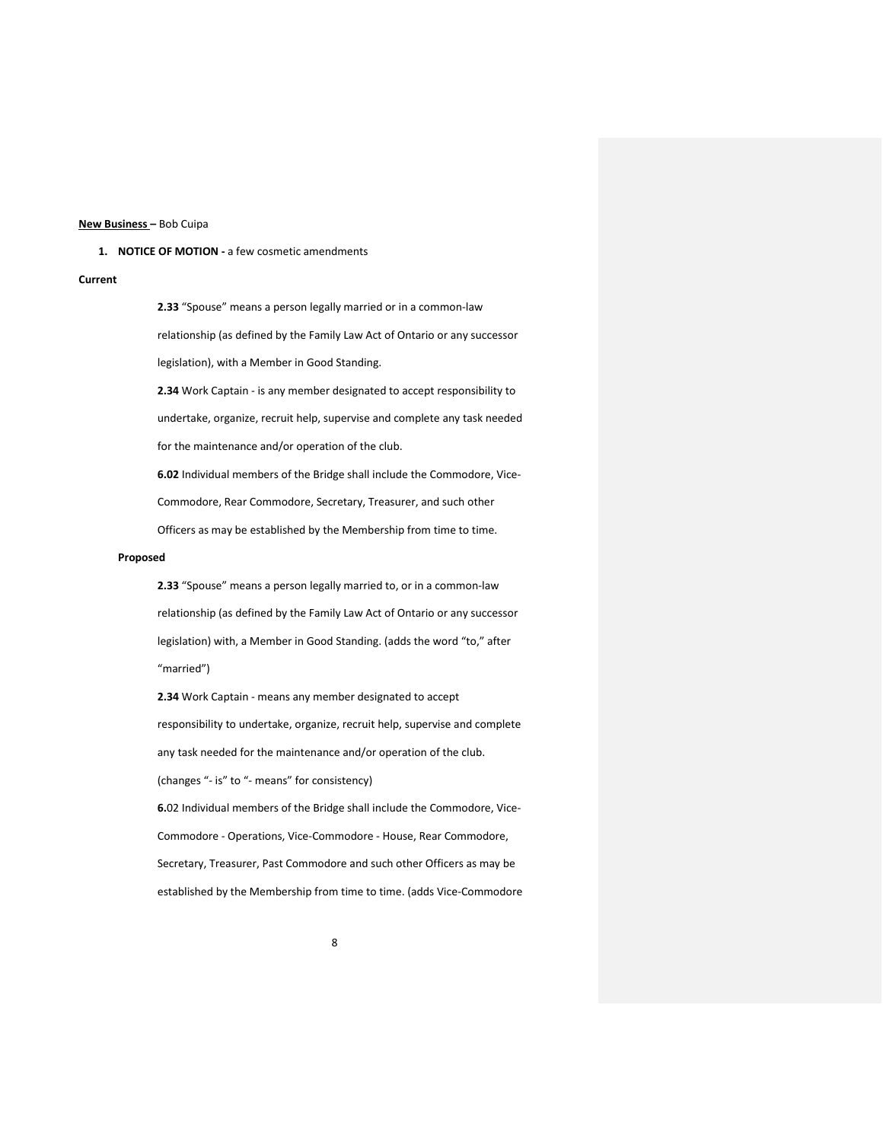### **New Business –** Bob Cuipa

### **1. NOTICE OF MOTION -** a few cosmetic amendments

### **Current**

**2.33** "Spouse" means a person legally married or in a common-law relationship (as defined by the Family Law Act of Ontario or any successor legislation), with a Member in Good Standing.

**2.34** Work Captain - is any member designated to accept responsibility to undertake, organize, recruit help, supervise and complete any task needed for the maintenance and/or operation of the club.

**6.02** Individual members of the Bridge shall include the Commodore, Vice-Commodore, Rear Commodore, Secretary, Treasurer, and such other Officers as may be established by the Membership from time to time.

### **Proposed**

**2.33** "Spouse" means a person legally married to, or in a common-law relationship (as defined by the Family Law Act of Ontario or any successor legislation) with, a Member in Good Standing. (adds the word "to," after "married")

**2.34** Work Captain - means any member designated to accept responsibility to undertake, organize, recruit help, supervise and complete any task needed for the maintenance and/or operation of the club. (changes "- is" to "- means" for consistency) **6.**02 Individual members of the Bridge shall include the Commodore, Vice-Commodore - Operations, Vice-Commodore - House, Rear Commodore, Secretary, Treasurer, Past Commodore and such other Officers as may be

established by the Membership from time to time. (adds Vice-Commodore